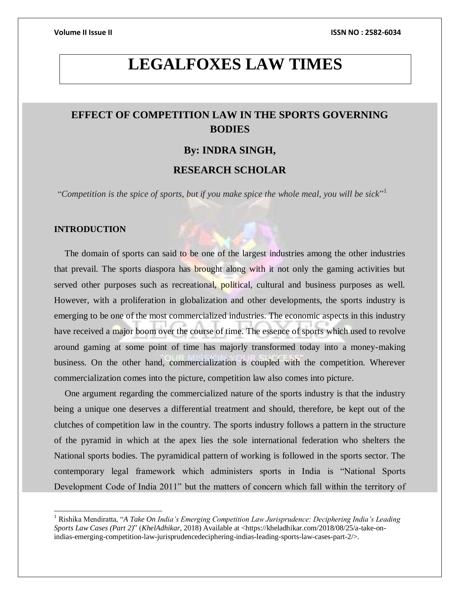# **LEGALFOXES LAW TIMES**

## **EFFECT OF COMPETITION LAW IN THE SPORTS GOVERNING BODIES**

## **By: INDRA SINGH,**

## **RESEARCH SCHOLAR**

"*Competition is the spice of sports, but if you make spice the whole meal, you will be sick*" 1

### **INTRODUCTION**

 $\overline{a}$ 

The domain of sports can said to be one of the largest industries among the other industries that prevail. The sports diaspora has brought along with it not only the gaming activities but served other purposes such as recreational, political, cultural and business purposes as well. However, with a proliferation in globalization and other developments, the sports industry is emerging to be one of the most commercialized industries. The economic aspects in this industry have received a major boom over the course of time. The essence of sports which used to revolve around gaming at some point of time has majorly transformed today into a money-making business. On the other hand, commercialization is coupled with the competition. Wherever commercialization comes into the picture, competition law also comes into picture.

One argument regarding the commercialized nature of the sports industry is that the industry being a unique one deserves a differential treatment and should, therefore, be kept out of the clutches of competition law in the country. The sports industry follows a pattern in the structure of the pyramid in which at the apex lies the sole international federation who shelters the National sports bodies. The pyramidical pattern of working is followed in the sports sector. The contemporary legal framework which administers sports in India is "National Sports Development Code of India 2011" but the matters of concern which fall within the territory of

<sup>1</sup> Rishika Mendiratta, "*A Take On India's Emerging Competition Law Jurisprudence: Deciphering India's Leading Sports Law Cases (Part 2)*" (*KhelAdhikar*, 2018) Available at <https://kheladhikar.com/2018/08/25/a-take-onindias-emerging-competition-law-jurisprudencedeciphering-indias-leading-sports-law-cases-part-2/>.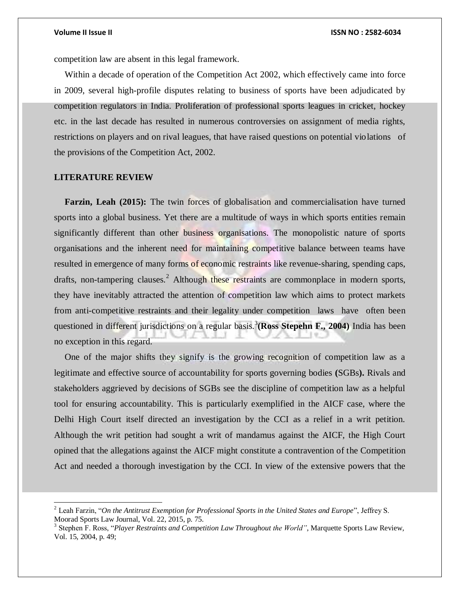competition law are absent in this legal framework.

Within a decade of operation of the [Competition Act 2002,](https://indiacode.nic.in/bitstream/123456789/2010/2/A2003-12.pdf) which effectively came into force in 2009, several high-profile disputes relating to business of sports have been adjudicated by competition regulators in India. Proliferation of professional sports leagues in cricket, hockey etc. in the last decade has resulted in numerous controversies on assignment of media rights, restrictions on players and on rival leagues, that have raised questions on potential violations of the provisions of the Competition Act, 2002.

### **LITERATURE REVIEW**

l

**Farzin, Leah (2015):** The twin forces of globalisation and commercialisation have turned sports into a global business. Yet there are a multitude of ways in which sports entities remain significantly different than other business organisations. The monopolistic nature of sports organisations and the inherent need for maintaining competitive balance between teams have resulted in emergence of many forms of economic restraints like revenue-sharing, spending caps, drafts, non-tampering clauses.<sup>2</sup> Although these restraints are commonplace in modern sports, they have inevitably attracted the attention of competition law which aims to protect markets from anti-competitive restraints and their legality under competition laws have often be[en](https://www.lawinsport.com/topics/articles/competition-law/item/why-sports-federations-are-under-increasing-scrutiny-from-competition-authorities?category_id=125)  [questioned in different jurisdictions o](https://www.lawinsport.com/topics/articles/competition-law/item/why-sports-federations-are-under-increasing-scrutiny-from-competition-authorities?category_id=125)n a regular basis.<sup>3</sup> (Ross Stepehn F., 2004) India has been no exception in this regard.

One of the major shifts they signify is the growing recognition of competition law as a legitimate and effective source of accountability for sports governing bodies **(**SGBs**).** Rivals and stakeholders aggrieved by decisions of SGBs see the discipline of competition law as a helpful tool for ensuring accountability. This is particularly exemplified in the AICF case, where the Delhi High Court itself directed an investigation by the CCI as a relief in a writ petition. Although the writ petition had sought a writ of mandamus against the AICF, the High Court opined that the allegations against the AICF might constitute a contravention of the Competition Act and needed a thorough investigation by the CCI. In view of the extensive powers that the

<sup>2</sup> Leah Farzin, "*On the Antitrust Exemption for Professional Sports in the United States and Europe*", Jeffrey S. Moorad Sports Law Journal, Vol. 22, 2015, p. 75.

<sup>&</sup>lt;sup>3</sup> Stephen F. Ross, "*Player Restraints and Competition Law Throughout the World"*, Marquette Sports Law Review, Vol. 15, 2004, p. 49;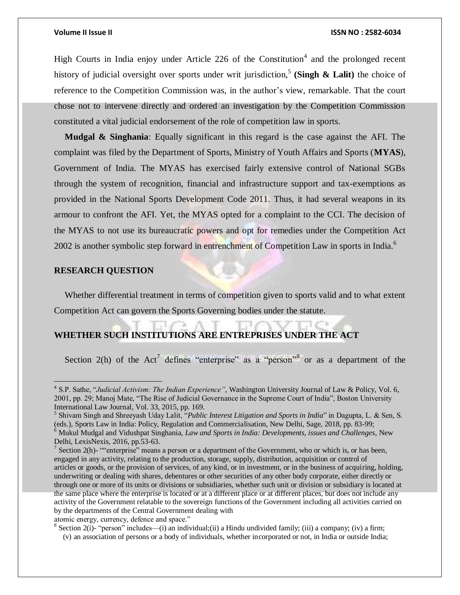High Courts in India enjoy under Article 226 of the Constitution<sup>4</sup> and the prolonged recent history of judicial oversight over sports under writ jurisdiction,<sup>5</sup> (Singh & Lalit) the choice of reference to the Competition Commission was, in the author's view, remarkable. That the court chose not to intervene directly and ordered an investigation by the Competition Commission constituted a vital judicial endorsement of the role of competition law in sports.

**Mudgal & Singhania**: Equally significant in this regard is the case against the AFI. The complaint was filed by the Department of Sports, Ministry of Youth Affairs and Sports (**MYAS**), Government of India. The MYAS has exercised fairly extensive control of National SGBs through the system of recognition, financial and infrastructure support and tax-exemptions as provided in the [National Sports Development Code 2011.](https://yas.nic.in/sites/default/files/File918.compressed.pdf) Thus, it had several weapons in its armour to confront the AFI. Yet, the MYAS opted for a complaint to the CCI. The decision of the MYAS to not use its bureaucratic powers and opt for remedies under the Competition Act 2002 is another symbolic step forward in entrenchment of Competition Law in sports in India.<sup>6</sup>

### **RESEARCH QUESTION**

Whether differential treatment in terms of competition given to sports valid and to what extent Competition Act can govern the Sports Governing bodies under the statute.

## **WHETHER SUCH INSTITUTIONS ARE ENTREPRISES UNDER THE ACT**

Section 2(h) of the Act<sup>7</sup> defines "enterprise" as a "person"<sup>8</sup> or as a department of the

<sup>4</sup> S.P. Sathe, "*Judicial Activism: The Indian Experience"*, Washington University Journal of Law & Policy, Vol. 6, 2001, pp. 29; Manoj Mate, "The Rise of Judicial Governance in the Supreme Court of India", Boston University International Law Journal, Vol. 33, 2015, pp. 169.

<sup>5</sup> Shivam Singh and Shreeyash Uday Lalit, "*Public Interest Litigation and Sports in India*" in Dagupta, L. & Sen, S. (eds.), Sports Law in India: Policy, Regulation and Commercialisation, New Delhi, Sage, 2018, pp. 83-99; <sup>6</sup> Mukul Mudgal and Vidushpat Singhania, *Law and Sports in India: Developments, issues and Challenges*, New Delhi, LexisNexis, 2016, pp.53-63.

<sup>&</sup>lt;sup>7</sup> Section 2(h)- ""enterprise" means a person or a department of the Government, who or which is, or has been, engaged in any activity, relating to the production, storage, supply, distribution, acquisition or control of articles or goods, or the provision of services, of any kind, or in investment, or in the business of acquiring, holding, underwriting or dealing with shares, debentures or other securities of any other body corporate, either directly or through one or more of its units or divisions or subsidiaries, whether such unit or division or subsidiary is located at the same place where the enterprise is located or at a different place or at different places, but does not include any activity of the Government relatable to the sovereign functions of the Government including all activities carried on by the departments of the Central Government dealing with atomic energy, currency, defence and space."

<sup>&</sup>lt;sup>8</sup> Section 2(i)- "person" includes—(i) an individual;(ii) a Hindu undivided family; (iii) a company; (iv) a firm;

<sup>(</sup>v) an association of persons or a body of individuals, whether incorporated or not, in India or outside India;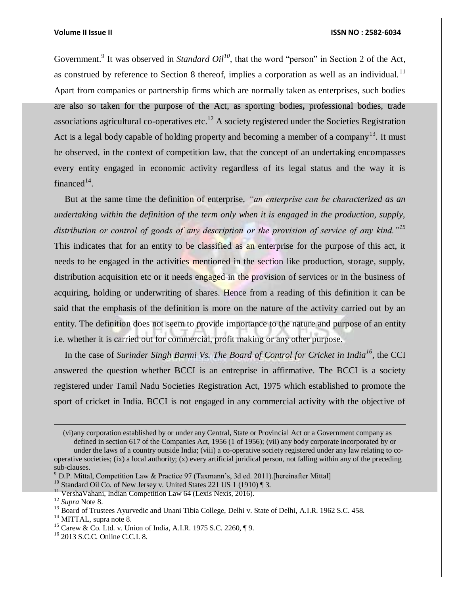Government.<sup>9</sup> It was observed in *Standard Oil*<sup>10</sup>, that the word "person" in Section 2 of the Act, as construed by reference to Section 8 thereof, implies a corporation as well as an individual.<sup>11</sup> Apart from companies or partnership firms which are normally taken as enterprises, such bodies are also so taken for the purpose of the Act, as sporting bodies**,** professional bodies, trade associations agricultural co-operatives etc.<sup>12</sup> A society registered under the Societies Registration Act is a legal body capable of holding property and becoming a member of a company<sup>13</sup>. It must be observed, in the context of competition law, that the concept of an undertaking encompasses every entity engaged in economic activity regardless of its legal status and the way it is financed $14$ .

But at the same time the definition of enterprise, *"an enterprise can be characterized as an undertaking within the definition of the term only when it is engaged in the production, supply, distribution or control of goods of any description or the provision of service of any kind."<sup>15</sup>* This indicates that for an entity to be classified as an enterprise for the purpose of this act, it needs to be engaged in the activities mentioned in the section like production, storage, supply, distribution acquisition etc or it needs engaged in the provision of services or in the business of acquiring, holding or underwriting of shares. Hence from a reading of this definition it can be said that the emphasis of the definition is more on the nature of the activity carried out by an entity. The definition does not seem to provide importance to the nature and purpose of an entity i.e. whether it is carried out for commercial, profit making or any other purpose.

In the case of *Surinder Singh Barmi Vs. The Board of Control for Cricket in India<sup>16</sup>, the CCI* answered the question whether BCCI is an entreprise in affirmative. The BCCI is a society registered under Tamil Nadu Societies Registration Act, 1975 which established to promote the sport of cricket in India. BCCI is not engaged in any commercial activity with the objective of

(vi)any corporation established by or under any Central, State or Provincial Act or a Government company as defined in section 617 of the Companies Act, 1956 (1 of 1956); (vii) any body corporate incorporated by or

under the laws of a country outside India; (viii) a co-operative society registered under any law relating to cooperative societies; (ix) a local authority; (x) every artificial juridical person, not falling within any of the preceding sub-clauses.

 $^{9}$  D.P. Mittal, Competition Law & Practice 97 (Taxmann's, 3d ed. 2011).[hereinafter Mittal]

<sup>&</sup>lt;sup>10</sup> Standard Oil Co. of New Jersey v. United States 221 US 1 (1910) [3.

<sup>&</sup>lt;sup>11</sup> VershaVahani, Indian Competition Law 64 (Lexis Nexis, 2016).

<sup>12</sup> *Supra* Note 8.

<sup>&</sup>lt;sup>13</sup> Board of Trustees Ayurvedic and Unani Tibia College, Delhi v. State of Delhi, A.I.R. 1962 S.C. 458.

<sup>&</sup>lt;sup>14</sup> MITTAL, supra note 8.

<sup>15</sup> Carew & Co. Ltd. v. Union of India, A.I.R. 1975 S.C. 2260, ¶ 9.

<sup>16</sup> 2013 S.C.C. Online C.C.I. 8.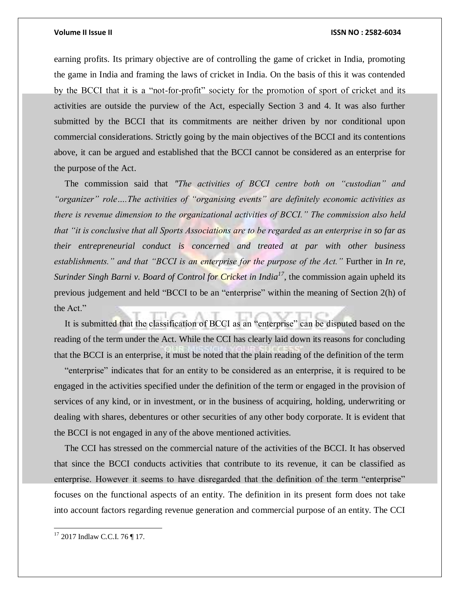earning profits. Its primary objective are of controlling the game of cricket in India, promoting the game in India and framing the laws of cricket in India. On the basis of this it was contended by the BCCI that it is a "not-for-profit" society for the promotion of sport of cricket and its activities are outside the purview of the Act, especially Section 3 and 4. It was also further submitted by the BCCI that its commitments are neither driven by nor conditional upon commercial considerations. Strictly going by the main objectives of the BCCI and its contentions above, it can be argued and established that the BCCI cannot be considered as an enterprise for the purpose of the Act.

The commission said that *"The activities of BCCI centre both on "custodian" and "organizer" role….The activities of "organising events" are definitely economic activities as there is revenue dimension to the organizational activities of BCCI." The commission also held that "it is conclusive that all Sports Associations are to be regarded as an enterprise in so far as their entrepreneurial conduct is concerned and treated at par with other business establishments." and that "BCCI is an enterprise for the purpose of the Act."* Further in *In re, Surinder Singh Barni v. Board of Control for Cricket in India<sup>17</sup>*, the commission again upheld its previous judgement and held "BCCI to be an "enterprise" within the meaning of Section 2(h) of the Act."

It is submitted that the classification of BCCI as an "enterprise" can be disputed based on the reading of the term under the Act. While the CCI has clearly laid down its reasons for concluding that the BCCI is an enterprise, it must be noted that the plain reading of the definition of the term

"enterprise" indicates that for an entity to be considered as an enterprise, it is required to be engaged in the activities specified under the definition of the term or engaged in the provision of services of any kind, or in investment, or in the business of acquiring, holding, underwriting or dealing with shares, debentures or other securities of any other body corporate. It is evident that the BCCI is not engaged in any of the above mentioned activities.

The CCI has stressed on the commercial nature of the activities of the BCCI. It has observed that since the BCCI conducts activities that contribute to its revenue, it can be classified as enterprise. However it seems to have disregarded that the definition of the term "enterprise" focuses on the functional aspects of an entity. The definition in its present form does not take into account factors regarding revenue generation and commercial purpose of an entity. The CCI

 $17$  2017 Indlaw C.C.I. 76 | 17.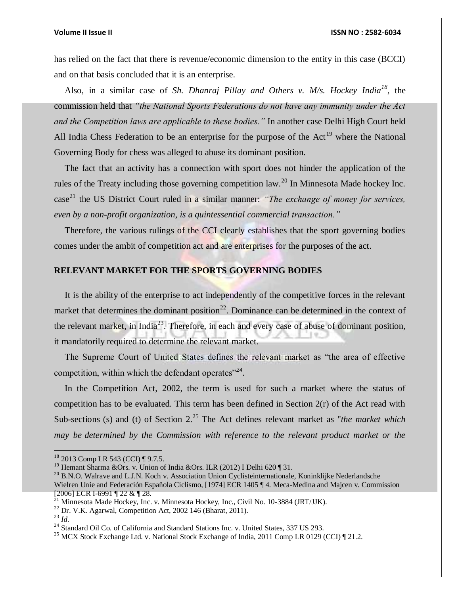has relied on the fact that there is revenue/economic dimension to the entity in this case (BCCI) and on that basis concluded that it is an enterprise.

Also, in a similar case of *Sh. Dhanraj Pillay and Others v. M/s. Hockey India<sup>18</sup>*, the commission held that *"the National Sports Federations do not have any immunity under the Act and the Competition laws are applicable to these bodies."* In another case Delhi High Court held All India Chess Federation to be an enterprise for the purpose of the Act<sup>19</sup> where the National Governing Body for chess was alleged to abuse its dominant position.

The fact that an activity has a connection with sport does not hinder the application of the rules of the Treaty including those governing competition law.<sup>20</sup> In Minnesota Made hockey Inc. case <sup>21</sup> the US District Court ruled in a similar manner: *"The exchange of money for services, even by a non-profit organization, is a quintessential commercial transaction."*

Therefore, the various rulings of the CCI clearly establishes that the sport governing bodies comes under the ambit of competition act and are enterprises for the purposes of the act.

## **RELEVANT MARKET FOR THE SPORTS GOVERNING BODIES**

It is the ability of the enterprise to act independently of the competitive forces in the relevant market that determines the dominant position<sup>22</sup>. Dominance can be determined in the context of the relevant market, in India<sup>23</sup>. Therefore, in each and every case of abuse of dominant position, it mandatorily required to determine the relevant market.

The Supreme Court of United States defines the relevant market as "the area of effective competition, within which the defendant operates"<sup>24</sup>.

In the Competition Act, 2002, the term is used for such a market where the status of competition has to be evaluated. This term has been defined in Section 2(r) of the Act read with Sub-sections (s) and (t) of Section 2.<sup>25</sup> The Act defines relevant market as "*the market which may be determined by the Commission with reference to the relevant product market or the* 

<sup>&</sup>lt;sup>18</sup> 2013 Comp LR 543 (CCI) ¶ 9.7.5.

<sup>&</sup>lt;sup>19</sup> Hemant Sharma &Ors. v. Union of India &Ors. ILR (2012) I Delhi 620 ¶ 31.

<sup>&</sup>lt;sup>20</sup> B.N.O. Walrave and L.J.N. Koch v. Association Union Cyclisteinternationale, Koninklijke Nederlandsche Wielren Unie and Federación Española Ciclismo, [1974] ECR 1405 ¶ 4. Meca-Medina and Majcen v. Commission [2006] ECR I-6991 ¶ 22 & ¶ 28.

 $^{21}$  Minnesota Made Hockey, Inc. v. Minnesota Hockey, Inc., Civil No. 10-3884 (JRT/JJK).

 $22$  Dr. V.K. Agarwal, Competition Act, 2002 146 (Bharat, 2011).

 $^{23}$  *Id.* 

<sup>&</sup>lt;sup>24</sup> Standard Oil Co. of California and Standard Stations Inc. v. United States, 337 US 293.

<sup>&</sup>lt;sup>25</sup> MCX Stock Exchange Ltd. v. National Stock Exchange of India, 2011 Comp LR 0129 (CCI)  $\parallel$  21.2.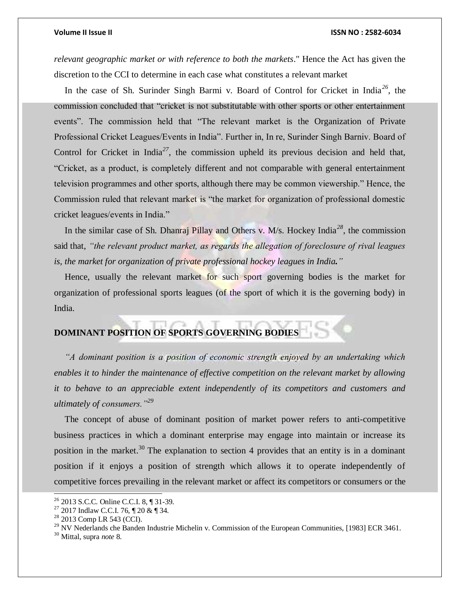*relevant geographic market or with reference to both the markets*." Hence the Act has given the discretion to the CCI to determine in each case what constitutes a relevant market

In the case of Sh. Surinder Singh Barmi v. Board of Control for Cricket in India*<sup>26</sup>*, the commission concluded that "cricket is not substitutable with other sports or other entertainment events". The commission held that "The relevant market is the Organization of Private Professional Cricket Leagues/Events in India". Further in, In re, Surinder Singh Barniv. Board of Control for Cricket in India*<sup>27</sup>*, the commission upheld its previous decision and held that, "Cricket, as a product, is completely different and not comparable with general entertainment television programmes and other sports, although there may be common viewership." Hence, the Commission ruled that relevant market is "the market for organization of professional domestic cricket leagues/events in India."

In the similar case of Sh. Dhanraj Pillay and Others v. M/s. Hockey India*<sup>28</sup>*, the commission said that, *"the relevant product market, as regards the allegation of foreclosure of rival leagues is, the market for organization of private professional hockey leagues in India."*

Hence, usually the relevant market for such sport governing bodies is the market for organization of professional sports leagues (of the sport of which it is the governing body) in India.

## **DOMINANT POSITION OF SPORTS GOVERNING BODIES**

*"A dominant position is a position of economic strength enjoyed by an undertaking which enables it to hinder the maintenance of effective competition on the relevant market by allowing it to behave to an appreciable extent independently of its competitors and customers and ultimately of consumers."<sup>29</sup>*

The concept of abuse of dominant position of market power refers to anti-competitive business practices in which a dominant enterprise may engage into maintain or increase its position in the market.<sup>30</sup> The explanation to section 4 provides that an entity is in a dominant position if it enjoys a position of strength which allows it to operate independently of competitive forces prevailing in the relevant market or affect its competitors or consumers or the

<sup>26</sup> 2013 S.C.C. Online C.C.I. 8, ¶ 31-39.

 $27$  2017 Indlaw C.C.I. 76,  $\P$  20 &  $\P$  34.

<sup>&</sup>lt;sup>28</sup> 2013 Comp LR 543 (CCI).

<sup>&</sup>lt;sup>29</sup> NV Nederlands che Banden Industrie Michelin v. Commission of the European Communities, [1983] ECR 3461.

<sup>30</sup> Mittal, supra *note* 8.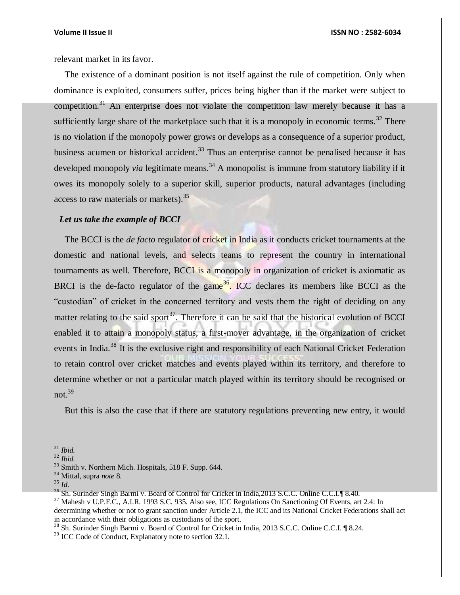relevant market in its favor.

The existence of a dominant position is not itself against the rule of competition. Only when dominance is exploited, consumers suffer, prices being higher than if the market were subject to competition.<sup>31</sup> An enterprise does not violate the competition law merely because it has a sufficiently large share of the marketplace such that it is a monopoly in economic terms.<sup>32</sup> There is no violation if the monopoly power grows or develops as a consequence of a superior product, business acumen or historical accident.<sup>33</sup> Thus an enterprise cannot be penalised because it has developed monopoly *via* legitimate means.<sup>34</sup> A monopolist is immune from statutory liability if it owes its monopoly solely to a superior skill, superior products, natural advantages (including access to raw materials or markets).  $35$ 

### *Let us take the example of BCCI*

The BCCI is the *de facto* regulator of cricket in India as it conducts cricket tournaments at the domestic and national levels, and selects teams to represent the country in international tournaments as well. Therefore, BCCI is a monopoly in organization of cricket is axiomatic as BRCI is the de-facto regulator of the game<sup>36</sup>. ICC declares its members like BCCI as the "custodian" of cricket in the concerned territory and vests them the right of deciding on any matter relating to the said sport<sup>37</sup>. Therefore it can be said that the historical evolution of BCCI enabled it to attain a monopoly status, a first-mover advantage, in the organization of cricket events in India.<sup>38</sup> It is the exclusive right and responsibility of each National Cricket Federation to retain control over cricket matches and events played within its territory, and therefore to determine whether or not a particular match played within its territory should be recognised or not. $39$ 

But this is also the case that if there are statutory regulations preventing new entry, it would

 $\overline{a}$ 

<sup>31</sup> *Ibid.*

<sup>32</sup> *Ibid.*

<sup>33</sup> Smith v. Northern Mich. Hospitals, 518 F. Supp. 644.

<sup>34</sup> Mittal, supra *note* 8.

<sup>35</sup> *Id.*

<sup>36</sup> Sh. Surinder Singh Barmi v. Board of Control for Cricket in India,2013 S.C.C. Online C.C.I.¶ 8.40.

<sup>&</sup>lt;sup>37</sup> Mahesh v U.P.F.C., A.I.R. 1993 S.C. 935. Also see, ICC Regulations On Sanctioning Of Events, art 2.4: In determining whether or not to grant sanction under Article 2.1, the ICC and its National Cricket Federations shall act in accordance with their obligations as custodians of the sport.

<sup>&</sup>lt;sup>38</sup> Sh. Surinder Singh Barmi v. Board of Control for Cricket in India, 2013 S.C.C. Online C.C.I. ¶ 8.24.

<sup>&</sup>lt;sup>39</sup> ICC Code of Conduct, Explanatory note to section 32.1.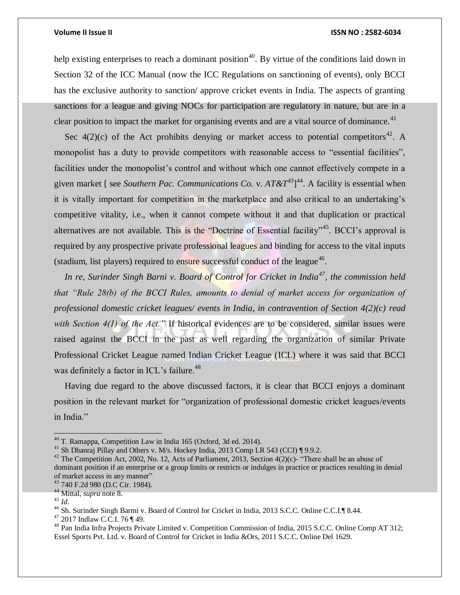help existing enterprises to reach a dominant position<sup>40</sup>. By virtue of the conditions laid down in Section 32 of the ICC Manual (now the ICC Regulations on sanctioning of events), only BCCI has the exclusive authority to sanction/ approve cricket events in India. The aspects of granting sanctions for a league and giving NOCs for participation are regulatory in nature, but are in a clear position to impact the market for organising events and are a vital source of dominance.<sup>41</sup>

Sec  $4(2)(c)$  of the Act prohibits denying or market access to potential competitors<sup>42</sup>. A monopolist has a duty to provide competitors with reasonable access to "essential facilities", facilities under the monopolist's control and without which one cannot effectively compete in a given market [ see *Southern Pac. Communications Co.* v. *AT&T<sup>43</sup>*] <sup>44</sup>. A facility is essential when it is vitally important for competition in the marketplace and also critical to an undertaking's competitive vitality, i.e., when it cannot compete without it and that duplication or practical alternatives are not available. This is the "Doctrine of Essential facility"<sup>45</sup>. BCCI's approval is required by any prospective private professional leagues and binding for access to the vital inputs (stadium, list players) required to ensure successful conduct of the league<sup>46</sup>.

*In re, Surinder Singh Barni v. Board of Control for Cricket in India<sup>47</sup>, the commission held that "Rule 28(b) of the BCCI Rules, amounts to denial of market access for organization of professional domestic cricket leagues/ events in India, in contravention of Section 4(2)(c) read with Section 4(1) of the Act."* If historical evidences are to be considered, similar issues were raised against the BCCI in the past as well regarding the organization of similar Private Professional Cricket League named Indian Cricket League (ICL) where it was said that BCCI was definitely a factor in ICL's failure.<sup>48</sup>

Having due regard to the above discussed factors, it is clear that BCCI enjoys a dominant position in the relevant market for "organization of professional domestic cricket leagues/events in India."

 $40$  T. Ramappa, Competition Law in India 165 (Oxford, 3d ed. 2014).

<sup>&</sup>lt;sup>41</sup> Sh Dhanraj Pillay and Others v. M/s. Hockey India, 2013 Comp LR 543 (CCI) ¶ 9.9.2.

<sup>&</sup>lt;sup>42</sup> The Competition Act, 2002, No. 12, Acts of Parliament, 2013, Section  $4(2)(c)$ - "There shall be an abuse of dominant position if an enterprise or a group limits or restricts or indulges in practice or practices resulting in denial of market access in any manner"

<sup>43</sup> 740 F.2d 980 (D.C Cir. 1984).

<sup>44</sup> Mittal, *supra* note 8.

<sup>45</sup> *Id*.

<sup>&</sup>lt;sup>46</sup> Sh. Surinder Singh Barmi v. Board of Control for Cricket in India, 2013 S.C.C. Online C.C.I.¶ 8.44.

<sup>47</sup> 2017 Indlaw C.C.I. 76 ¶ 49.

<sup>48</sup> Pan India Infra Projects Private Limited v. Competition Commission of India, 2015 S.C.C. Online Comp AT 312; Essel Sports Pvt. Ltd. v. Board of Control for Cricket in India &Ors, 2011 S.C.C. Online Del 1629.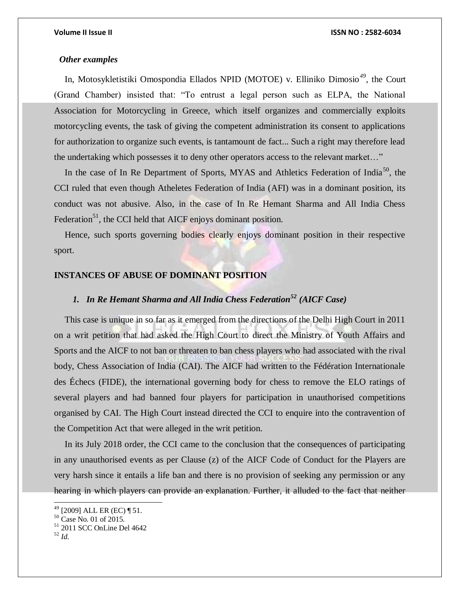### *Other examples*

In, Motosykletistiki Omospondia Ellados NPID (MOTOE) v. Elliniko Dimosio*<sup>49</sup>*, the Court (Grand Chamber) insisted that: "To entrust a legal person such as ELPA, the National Association for Motorcycling in Greece, which itself organizes and commercially exploits motorcycling events, the task of giving the competent administration its consent to applications for authorization to organize such events, is tantamount de fact... Such a right may therefore lead the undertaking which possesses it to deny other operators access to the relevant market…"

In the case of In Re Department of Sports, MYAS and Athletics Federation of India<sup>50</sup>, the CCI ruled that even though Atheletes Federation of India (AFI) was in a dominant position, its conduct was not abusive. Also, in the case of In Re Hemant Sharma and All India Chess Federation<sup>51</sup>, the CCI held that AICF enjoys dominant position.

Hence, such sports governing bodies clearly enjoys dominant position in their respective sport.

### **INSTANCES OF ABUSE OF DOMINANT POSITION**

## *1. In Re Hemant Sharma and All India Chess Federation<sup>52</sup> (AICF Case)*

This case is unique in so far as it emerged from the directions of the Delhi High Court in 2011 on a writ petition that had asked the High Court to direct the Ministry of Youth Affairs and Sports and the AICF to not ban or threaten to ban chess players who had associated with the rival body, Chess Association of India (CAI). The AICF had written to the Fédération Internationale des Échecs (FIDE), the international governing body for chess to remove the ELO ratings of several players and had banned four players for participation in unauthorised competitions organised by CAI. The High Court instead directed the CCI to enquire into the contravention of the Competition Act that were alleged in the writ petition.

In its July 2018 [order, t](https://www.cci.gov.in/sites/default/files/Case%20No.%2079%20of%202011.pdf)he CCI came to the conclusion that the consequences of participating in any unauthorised events as per Clause (z) of the AICF [Code of Conduct for the Players a](https://assets.aicf.in/downloads/AICFConsitutionByelawsamendedason25June2017.pdf)re very harsh since it entails a life ban and there is no provision of seeking any permission or any hearing in which players can provide an explanation. Further, it alluded to the fact that neither

<sup>49</sup> [2009] ALL ER (EC) ¶ 51.

<sup>50</sup> Case No. 01 of 2015.

<sup>51</sup> 2011 SCC OnLine Del 4642

<sup>52</sup> *Id.*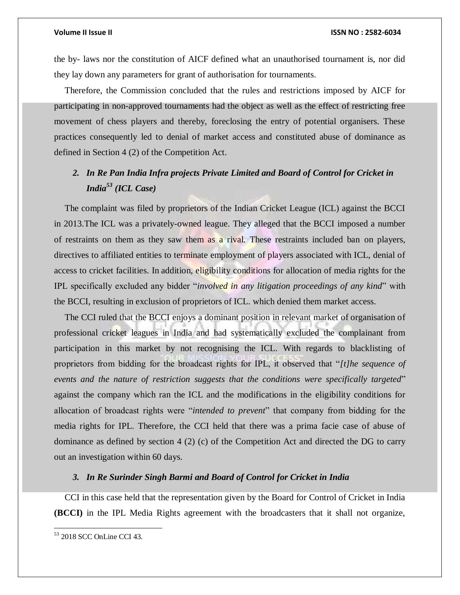the by- laws nor the constitution of AICF defined what an unauthorised tournament is, nor did they lay down any parameters for grant of authorisation for tournaments.

Therefore, the Commission concluded that the rules and restrictions imposed by AICF for participating in non-approved tournaments had the object as well as the effect of restricting free movement of chess players and thereby, foreclosing the entry of potential organisers. These practices consequently led to denial of market access and constituted abuse of dominance as defined in [Section 4 \(2\) o](https://indiankanoon.org/doc/1248233/)f the Competition Act.

## *2. In Re Pan India Infra projects Private Limited and Board of Control for Cricket in India<sup>53</sup> (ICL Case)*

The complaint was filed by proprietors of the Indian Cricket League (ICL) against the BCCI in 2013.The ICL was a privately-owned league. They alleged that the BCCI imposed a number of restraints on them as they saw them as a rival. These restraints included ban on players, directives to affiliated entities to terminate employment of players associated with ICL, denial of access to cricket facilities. In addition, eligibility conditions for allocation of media rights for the IPL specifically excluded any bidder "*involved in any litigation proceedings of any kind*" with the BCCI, resulting in exclusion of proprietors of ICL. which denied them market access.

The CCI [ruled t](https://www.cci.gov.in/sites/default/files/Case%20no.%2091%20of%202013.pdf)hat the BCCI enjoys a dominant position in relevant market of organisation of professional cricket leagues in India and had systematically excluded the complainant from participation in this market by not recognising the ICL. With regards to blacklisting of proprietors from bidding for the broadcast rights for IPL, it observed that "*[t]he sequence of events and the nature of restriction suggests that the conditions were specifically targeted*" against the company which ran the ICL and the modifications in the eligibility conditions for allocation of broadcast rights were "*intended to prevent*" that company from bidding for the media rights for IPL. Therefore, the CCI held that there was a prima facie case of abuse of dominance as defined by section 4 (2) (c) of the Competition Act and directed the DG to carry out an investigation within 60 days.

### *3. In Re Surinder Singh Barmi and Board of Control for Cricket in India*

CCI in this case held that the representation given by the Board for Control of Cricket in India **(BCCI)** in the IPL Media Rights agreement with the broadcasters that it shall not organize,

<sup>53</sup> 2018 SCC OnLine CCI 43.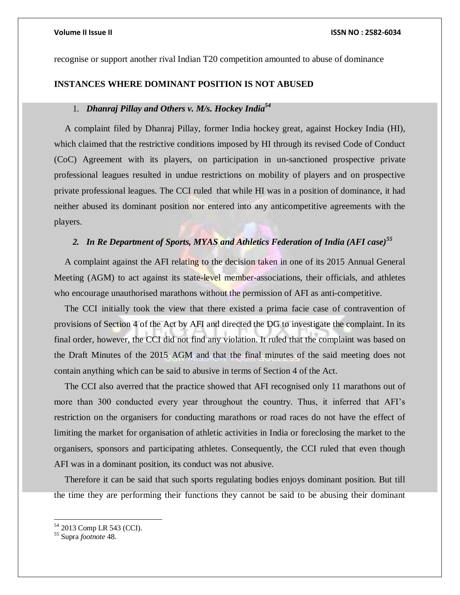recognise or support another rival Indian T20 competition amounted to abuse of dominance

### **INSTANCES WHERE DOMINANT POSITION IS NOT ABUSED**

## 1. *Dhanraj Pillay and Others v. M/s. Hockey India<sup>54</sup>*

A complaint filed by Dhanraj Pillay, former India hockey great, against Hockey India (HI), which claimed that the restrictive conditions imposed by HI through its revised Code of Conduct (CoC) Agreement with its players, on participation in un-sanctioned prospective private professional leagues resulted in undue restrictions on mobility of players and on prospective private professional leagues. The CCI [ruled](https://www.cci.gov.in/sites/default/files/732011_0.pdf) that while HI was in a position of dominance, it had neither abused its dominant position nor entered into any anticompetitive agreements with the players.

## *2. In Re Department of Sports, MYAS and Athletics Federation of India (AFI case)<sup>55</sup>*

A complaint against the AFI relating to the decision taken in one of its 2015 Annual General Meeting (AGM) to act against its state-level member-associations, their officials, and athletes who encourage unauthorised marathons without the permission of AFI as anti-competitive.

The CCI initially took the view that there existed a prima facie case of contravention of provisions of Section 4 of the Act by AFI and directed the DG to investigate the complaint. In its final order, however, the CCI did not find any violation. It ruled that the complaint was based on the Draft Minutes of the 2015 AGM and that the final minutes of the said meeting does not contain anything which can be said to abusive in terms of Section 4 of the Act.

The CCI also averred that the practice showed that AFI recognised only 11 marathons out of more than 300 conducted every year throughout the country. Thus, it inferred that AFI's restriction on the organisers for conducting marathons or road races do not have the effect of limiting the market for organisation of athletic activities in India or foreclosing the market to the organisers, sponsors and participating athletes. Consequently, the CCI ruled that even though AFI was in a dominant position, its conduct was not abusive.

Therefore it can be said that such sports regulating bodies enjoys dominant position. But till the time they are performing their functions they cannot be said to be abusing their dominant

 $\overline{a}$ 

<sup>54</sup> 2013 Comp LR 543 (CCI).

<sup>55</sup> Supra *footnote* 48.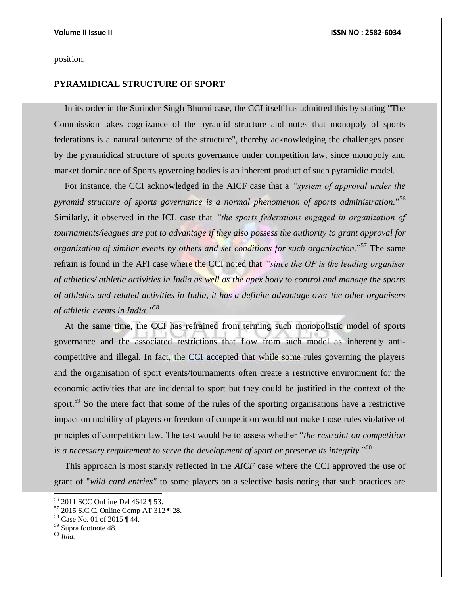position.

## **PYRAMIDICAL STRUCTURE OF SPORT**

In its order in the Surinder Singh Bhurni case, the CCI itself has admitted this by stating "The Commission takes cognizance of the pyramid structure and notes that monopoly of sports federations is a natural outcome of the structure", thereby acknowledging the challenges posed by the pyramidical structure of sports governance under competition law, since monopoly and market dominance of Sports governing bodies is an inherent product of such pyramidic model.

For instance, the CCI acknowledged in the AICF case that a *"system of approval under the pyramid structure of sports governance is a normal phenomenon of sports administration.*" 56 Similarly, it observed in the ICL case that *"the sports federations engaged in organization of tournaments/leagues are put to advantage if they also possess the authority to grant approval for organization of similar events by others and set conditions for such organization.*" <sup>57</sup> The same refrain is found in the AFI case where the CCI noted that *"since the OP is the leading organiser of athletics/ athletic activities in India as well as the apex body to control and manage the sports of athletics and related activities in India, it has a definite advantage over the other organisers of athletic events in India."<sup>58</sup>*

At the same time, the CCI has refrained from terming such monopolistic model of sports governance and the associated restrictions that flow from such model as inherently anticompetitive and illegal. In fact, the CCI accepted that while some rules governing the players and the organisation of sport events/tournaments often create a restrictive environment for the economic activities that are incidental to sport but they could be justified in the context of the sport.<sup>59</sup> So the mere fact that some of the rules of the sporting organisations have a restrictive impact on mobility of players or freedom of competition would not make those rules violative of principles of competition law. The test would be to assess whether "*the restraint on competition*  is a necessary requirement to serve the development of sport or preserve its integrity."<sup>60</sup>

This approach is most starkly reflected in the *AICF* case where the CCI approved the use of grant of "*wild card entries"* to some players on a selective basis noting that such practices are

<sup>56</sup> 2011 SCC OnLine Del 4642 ¶ 53.

<sup>57</sup> 2015 S.C.C. Online Comp AT 312 ¶ 28.

<sup>58</sup> Case No. 01 of 2015 ¶ 44.

<sup>59</sup> Supra footnote 48.

<sup>60</sup> *Ibid.*